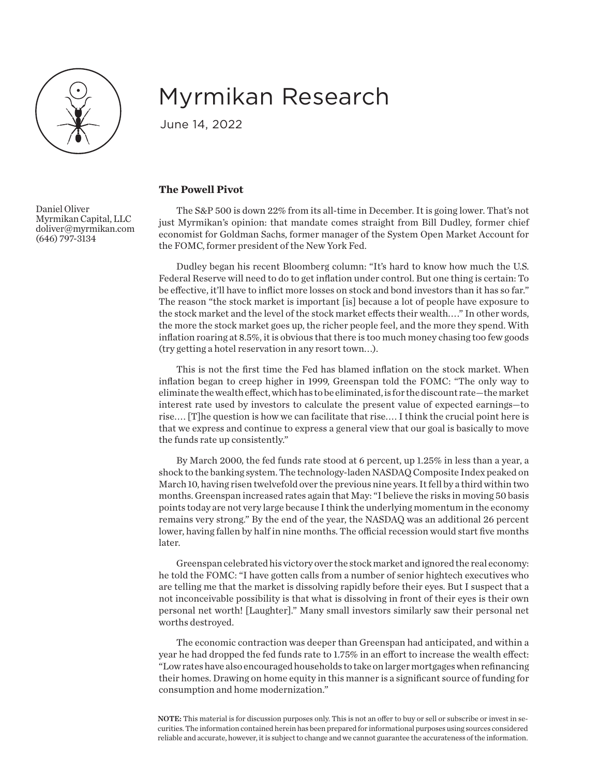

## Myrmikan Research

June 14, 2022

## **The Powell Pivot**

The S&P 500 is down 22% from its all-time in December. It is going lower. That's not just Myrmikan's opinion: that mandate comes straight from Bill Dudley, former chief economist for Goldman Sachs, former manager of the System Open Market Account for the FOMC, former president of the New York Fed.

Dudley began his recent Bloomberg column: "It's hard to know how much the U.S. Federal Reserve will need to do to get inflation under control. But one thing is certain: To be effective, it'll have to inflict more losses on stock and bond investors than it has so far." The reason "the stock market is important [is] because a lot of people have exposure to the stock market and the level of the stock market effects their wealth. . . ." In other words, the more the stock market goes up, the richer people feel, and the more they spend. With inflation roaring at 8.5%, it is obvious that there is too much money chasing too few goods (try getting a hotel reservation in any resort town. . .).

This is not the first time the Fed has blamed inflation on the stock market. When inflation began to creep higher in 1999, Greenspan told the FOMC: "The only way to eliminate the wealth effect, which has to be eliminated, is for the discount rate—the market interest rate used by investors to calculate the present value of expected earnings—to rise. . . . [T]he question is how we can facilitate that rise. . . . I think the crucial point here is that we express and continue to express a general view that our goal is basically to move the funds rate up consistently."

By March 2000, the fed funds rate stood at 6 percent, up 1.25% in less than a year, a shock to the banking system. The technology-laden NASDAQ Composite Index peaked on March 10, having risen twelvefold over the previous nine years. It fell by a third within two months. Greenspan increased rates again that May: "I believe the risks in moving 50 basis points today are not very large because I think the underlying momentum in the economy remains very strong." By the end of the year, the NASDAQ was an additional 26 percent lower, having fallen by half in nine months. The official recession would start five months later.

Greenspan celebrated his victory over the stock market and ignored the real economy: he told the FOMC: "I have gotten calls from a number of senior hightech executives who are telling me that the market is dissolving rapidly before their eyes. But I suspect that a not inconceivable possibility is that what is dissolving in front of their eyes is their own personal net worth! [Laughter]." Many small investors similarly saw their personal net worths destroyed.

The economic contraction was deeper than Greenspan had anticipated, and within a year he had dropped the fed funds rate to 1.75% in an effort to increase the wealth effect: "Low rates have also encouraged households to take on larger mortgages when refinancing their homes. Drawing on home equity in this manner is a significant source of funding for consumption and home modernization."

NOTE: This material is for discussion purposes only. This is not an offer to buy or sell or subscribe or invest in securities. The information contained herein has been prepared for informational purposes using sources considered reliable and accurate, however, it is subject to change and we cannot guarantee the accurateness of the information.

Daniel Oliver Myrmikan Capital, LLC doliver@myrmikan.com (646) 797-3134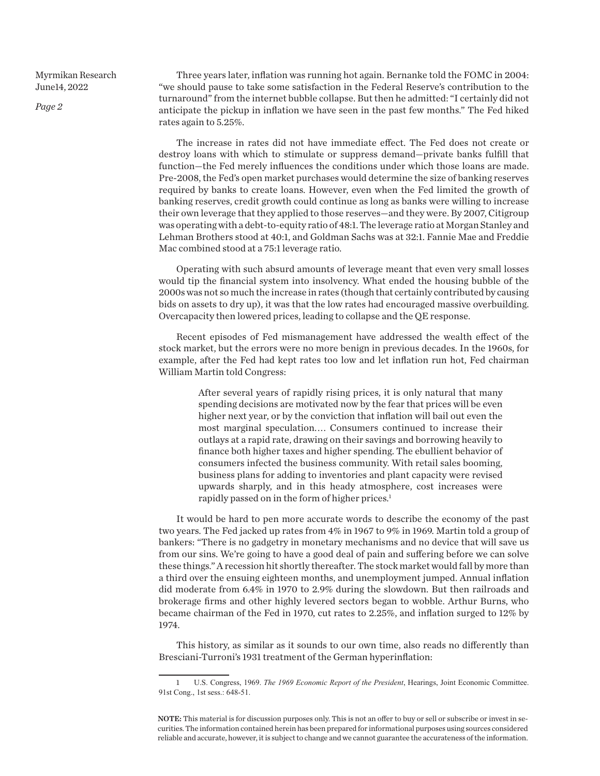*Page 2*

Three years later, inflation was running hot again. Bernanke told the FOMC in 2004: "we should pause to take some satisfaction in the Federal Reserve's contribution to the turnaround" from the internet bubble collapse. But then he admitted: "I certainly did not anticipate the pickup in inflation we have seen in the past few months." The Fed hiked rates again to 5.25%.

The increase in rates did not have immediate effect. The Fed does not create or destroy loans with which to stimulate or suppress demand—private banks fulfill that function—the Fed merely influences the conditions under which those loans are made. Pre-2008, the Fed's open market purchases would determine the size of banking reserves required by banks to create loans. However, even when the Fed limited the growth of banking reserves, credit growth could continue as long as banks were willing to increase their own leverage that they applied to those reserves—and they were. By 2007, Citigroup was operating with a debt-to-equity ratio of 48:1. The leverage ratio at Morgan Stanley and Lehman Brothers stood at 40:1, and Goldman Sachs was at 32:1. Fannie Mae and Freddie Mac combined stood at a 75:1 leverage ratio.

Operating with such absurd amounts of leverage meant that even very small losses would tip the financial system into insolvency. What ended the housing bubble of the 2000s was not so much the increase in rates (though that certainly contributed by causing bids on assets to dry up), it was that the low rates had encouraged massive overbuilding. Overcapacity then lowered prices, leading to collapse and the QE response.

Recent episodes of Fed mismanagement have addressed the wealth effect of the stock market, but the errors were no more benign in previous decades. In the 1960s, for example, after the Fed had kept rates too low and let inflation run hot, Fed chairman William Martin told Congress:

> After several years of rapidly rising prices, it is only natural that many spending decisions are motivated now by the fear that prices will be even higher next year, or by the conviction that inflation will bail out even the most marginal speculation. . . . Consumers continued to increase their outlays at a rapid rate, drawing on their savings and borrowing heavily to finance both higher taxes and higher spending. The ebullient behavior of consumers infected the business community. With retail sales booming, business plans for adding to inventories and plant capacity were revised upwards sharply, and in this heady atmosphere, cost increases were rapidly passed on in the form of higher prices.<sup>1</sup>

It would be hard to pen more accurate words to describe the economy of the past two years. The Fed jacked up rates from 4% in 1967 to 9% in 1969. Martin told a group of bankers: "There is no gadgetry in monetary mechanisms and no device that will save us from our sins. We're going to have a good deal of pain and suffering before we can solve these things." A recession hit shortly thereafter. The stock market would fall by more than a third over the ensuing eighteen months, and unemployment jumped. Annual inflation did moderate from 6.4% in 1970 to 2.9% during the slowdown. But then railroads and brokerage firms and other highly levered sectors began to wobble. Arthur Burns, who became chairman of the Fed in 1970, cut rates to 2.25%, and inflation surged to 12% by 1974.

This history, as similar as it sounds to our own time, also reads no differently than Bresciani-Turroni's 1931 treatment of the German hyperinflation:

<sup>1</sup> U.S. Congress, 1969. *The 1969 Economic Report of the President*, Hearings, Joint Economic Committee. 91st Cong., 1st sess.: 648-51.

NOTE: This material is for discussion purposes only. This is not an offer to buy or sell or subscribe or invest in securities. The information contained herein has been prepared for informational purposes using sources considered reliable and accurate, however, it is subject to change and we cannot guarantee the accurateness of the information.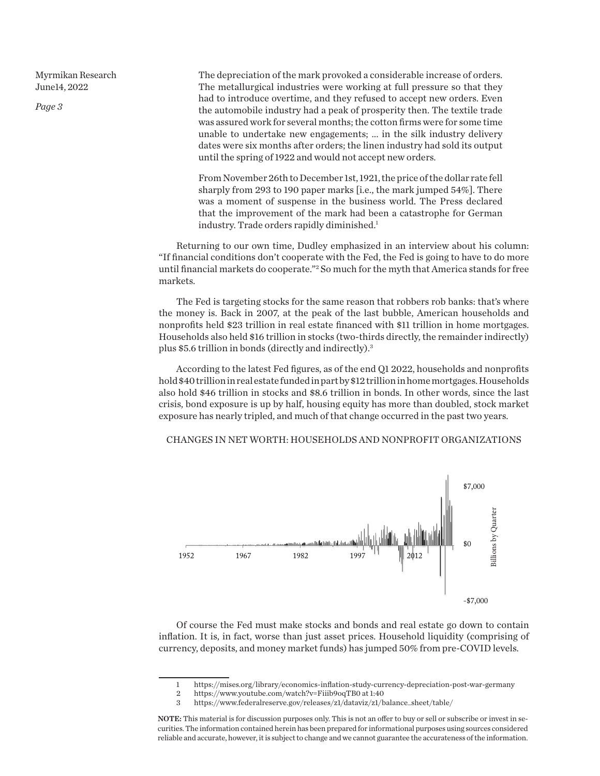*Page 3*

The depreciation of the mark provoked a considerable increase of orders. The metallurgical industries were working at full pressure so that they had to introduce overtime, and they refused to accept new orders. Even the automobile industry had a peak of prosperity then. The textile trade was assured work for several months; the cotton firms were for some time unable to undertake new engagements; ... in the silk industry delivery dates were six months after orders; the linen industry had sold its output until the spring of 1922 and would not accept new orders.

From November 26th to December 1st, 1921, the price of the dollar rate fell sharply from 293 to 190 paper marks [i.e., the mark jumped 54%]. There was a moment of suspense in the business world. The Press declared that the improvement of the mark had been a catastrophe for German industry. Trade orders rapidly diminished.<sup>1</sup>

Returning to our own time, Dudley emphasized in an interview about his column: "If financial conditions don't cooperate with the Fed, the Fed is going to have to do more until financial markets do cooperate."2 So much for the myth that America stands for free markets.

The Fed is targeting stocks for the same reason that robbers rob banks: that's where the money is. Back in 2007, at the peak of the last bubble, American households and nonprofits held \$23 trillion in real estate financed with \$11 trillion in home mortgages. Households also held \$16 trillion in stocks (two-thirds directly, the remainder indirectly) plus \$5.6 trillion in bonds (directly and indirectly).3

According to the latest Fed figures, as of the end Q1 2022, households and nonprofits hold \$40 trillion in real estate funded in part by \$12 trillion in home mortgages. Households also hold \$46 trillion in stocks and \$8.6 trillion in bonds. In other words, since the last crisis, bond exposure is up by half, housing equity has more than doubled, stock market exposure has nearly tripled, and much of that change occurred in the past two years.

## CHANGES IN NET WORTH: HOUSEHOLDS AND NONPROFIT ORGANIZATIONS



Of course the Fed must make stocks and bonds and real estate go down to contain inflation. It is, in fact, worse than just asset prices. Household liquidity (comprising of currency, deposits, and money market funds) has jumped 50% from pre-COVID levels.

<sup>1</sup> https://mises.org/library/economics-inflation-study-currency-depreciation-post-war-germany<br>2 https://www.youtube.com/watch?v=Fijib9ooTB0.at1:40

<sup>2</sup> https://www.youtube.com/watch?v=Fiiib9oqTB0 at 1:40

<sup>3</sup> https://www.federalreserve.gov/releases/z1/dataviz/z1/balance\_sheet/table/

NOTE: This material is for discussion purposes only. This is not an offer to buy or sell or subscribe or invest in securities. The information contained herein has been prepared for informational purposes using sources considered reliable and accurate, however, it is subject to change and we cannot guarantee the accurateness of the information.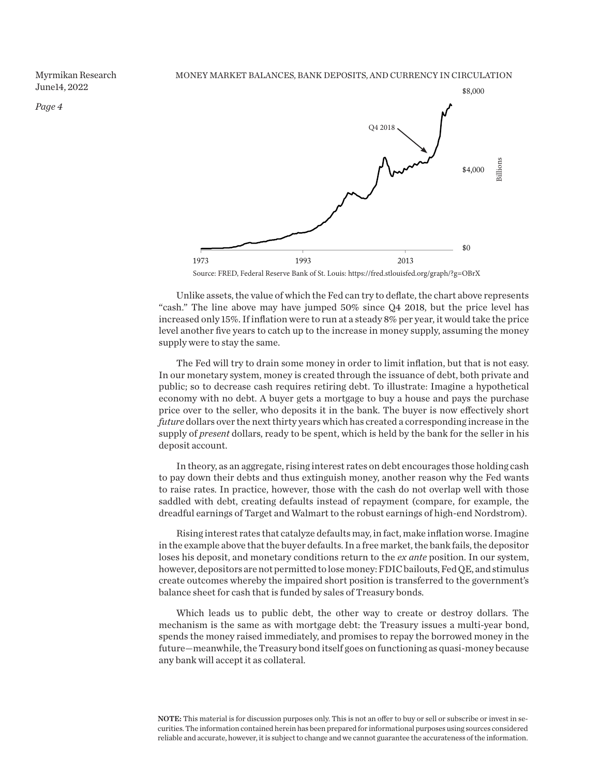*Page 4*



Unlike assets, the value of which the Fed can try to deflate, the chart above represents "cash." The line above may have jumped 50% since Q4 2018, but the price level has increased only 15%. If inflation were to run at a steady 8% per year, it would take the price level another five years to catch up to the increase in money supply, assuming the money supply were to stay the same.

The Fed will try to drain some money in order to limit inflation, but that is not easy. In our monetary system, money is created through the issuance of debt, both private and public; so to decrease cash requires retiring debt. To illustrate: Imagine a hypothetical economy with no debt. A buyer gets a mortgage to buy a house and pays the purchase price over to the seller, who deposits it in the bank. The buyer is now effectively short *future* dollars over the next thirty years which has created a corresponding increase in the supply of *present* dollars, ready to be spent, which is held by the bank for the seller in his deposit account.

In theory, as an aggregate, rising interest rates on debt encourages those holding cash to pay down their debts and thus extinguish money, another reason why the Fed wants to raise rates. In practice, however, those with the cash do not overlap well with those saddled with debt, creating defaults instead of repayment (compare, for example, the dreadful earnings of Target and Walmart to the robust earnings of high-end Nordstrom).

Rising interest rates that catalyze defaults may, in fact, make inflation worse. Imagine in the example above that the buyer defaults. In a free market, the bank fails, the depositor loses his deposit, and monetary conditions return to the *ex ante* position. In our system, however, depositors are not permitted to lose money: FDIC bailouts, Fed QE, and stimulus create outcomes whereby the impaired short position is transferred to the government's balance sheet for cash that is funded by sales of Treasury bonds.

Which leads us to public debt, the other way to create or destroy dollars. The mechanism is the same as with mortgage debt: the Treasury issues a multi-year bond, spends the money raised immediately, and promises to repay the borrowed money in the future—meanwhile, the Treasury bond itself goes on functioning as quasi-money because any bank will accept it as collateral.

NOTE: This material is for discussion purposes only. This is not an offer to buy or sell or subscribe or invest in securities. The information contained herein has been prepared for informational purposes using sources considered reliable and accurate, however, it is subject to change and we cannot guarantee the accurateness of the information.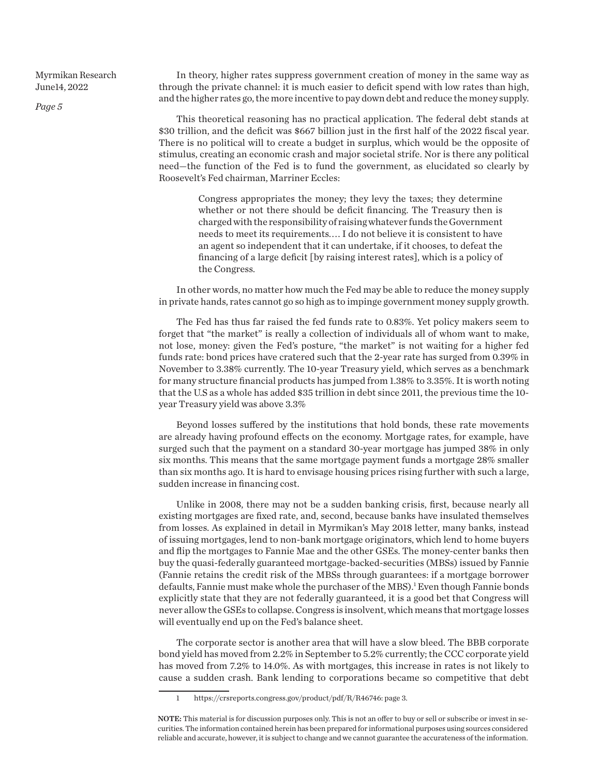*Page 5*

In theory, higher rates suppress government creation of money in the same way as through the private channel: it is much easier to deficit spend with low rates than high, and the higher rates go, the more incentive to pay down debt and reduce the money supply.

This theoretical reasoning has no practical application. The federal debt stands at \$30 trillion, and the deficit was \$667 billion just in the first half of the 2022 fiscal year. There is no political will to create a budget in surplus, which would be the opposite of stimulus, creating an economic crash and major societal strife. Nor is there any political need—the function of the Fed is to fund the government, as elucidated so clearly by Roosevelt's Fed chairman, Marriner Eccles:

> Congress appropriates the money; they levy the taxes; they determine whether or not there should be deficit financing. The Treasury then is charged with the responsibility of raising whatever funds the Government needs to meet its requirements. . . . I do not believe it is consistent to have an agent so independent that it can undertake, if it chooses, to defeat the financing of a large deficit [by raising interest rates], which is a policy of the Congress.

In other words, no matter how much the Fed may be able to reduce the money supply in private hands, rates cannot go so high as to impinge government money supply growth.

The Fed has thus far raised the fed funds rate to 0.83%. Yet policy makers seem to forget that "the market" is really a collection of individuals all of whom want to make, not lose, money: given the Fed's posture, "the market" is not waiting for a higher fed funds rate: bond prices have cratered such that the 2-year rate has surged from 0.39% in November to 3.38% currently. The 10-year Treasury yield, which serves as a benchmark for many structure financial products has jumped from 1.38% to 3.35%. It is worth noting that the U.S as a whole has added \$35 trillion in debt since 2011, the previous time the 10 year Treasury yield was above 3.3%

Beyond losses suffered by the institutions that hold bonds, these rate movements are already having profound effects on the economy. Mortgage rates, for example, have surged such that the payment on a standard 30-year mortgage has jumped 38% in only six months. This means that the same mortgage payment funds a mortgage 28% smaller than six months ago. It is hard to envisage housing prices rising further with such a large, sudden increase in financing cost.

Unlike in 2008, there may not be a sudden banking crisis, first, because nearly all existing mortgages are fixed rate, and, second, because banks have insulated themselves from losses. As explained in detail in Myrmikan's May 2018 letter, many banks, instead of issuing mortgages, lend to non-bank mortgage originators, which lend to home buyers and flip the mortgages to Fannie Mae and the other GSEs. The money-center banks then buy the quasi-federally guaranteed mortgage-backed-securities (MBSs) issued by Fannie (Fannie retains the credit risk of the MBSs through guarantees: if a mortgage borrower defaults, Fannie must make whole the purchaser of the MBS).<sup>1</sup> Even though Fannie bonds explicitly state that they are not federally guaranteed, it is a good bet that Congress will never allow the GSEs to collapse. Congress is insolvent, which means that mortgage losses will eventually end up on the Fed's balance sheet.

The corporate sector is another area that will have a slow bleed. The BBB corporate bond yield has moved from 2.2% in September to 5.2% currently; the CCC corporate yield has moved from 7.2% to 14.0%. As with mortgages, this increase in rates is not likely to cause a sudden crash. Bank lending to corporations became so competitive that debt

https://crsreports.congress.gov/product/pdf/R/R46746: page 3.

NOTE: This material is for discussion purposes only. This is not an offer to buy or sell or subscribe or invest in securities. The information contained herein has been prepared for informational purposes using sources considered reliable and accurate, however, it is subject to change and we cannot guarantee the accurateness of the information.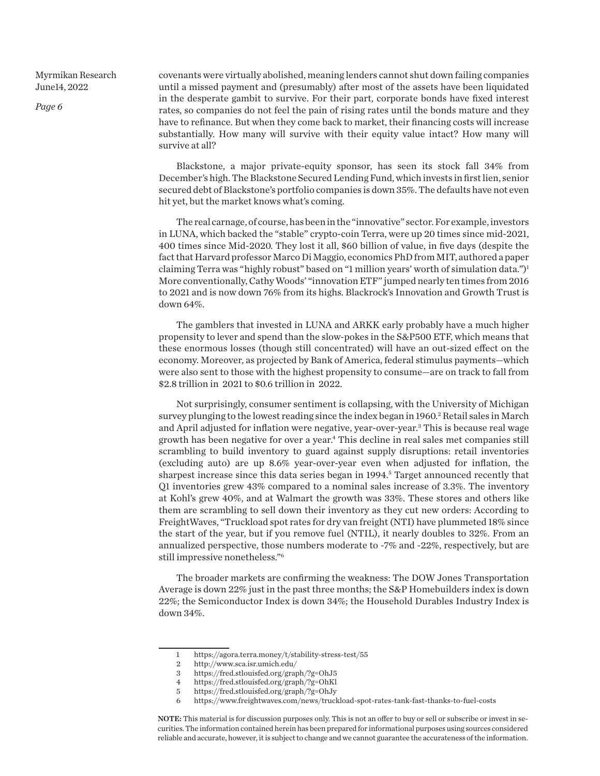*Page 6*

covenants were virtually abolished, meaning lenders cannot shut down failing companies until a missed payment and (presumably) after most of the assets have been liquidated in the desperate gambit to survive. For their part, corporate bonds have fixed interest rates, so companies do not feel the pain of rising rates until the bonds mature and they have to refinance. But when they come back to market, their financing costs will increase substantially. How many will survive with their equity value intact? How many will survive at all?

Blackstone, a major private-equity sponsor, has seen its stock fall 34% from December's high. The Blackstone Secured Lending Fund, which invests in first lien, senior secured debt of Blackstone's portfolio companies is down 35%. The defaults have not even hit yet, but the market knows what's coming.

The real carnage, of course, has been in the "innovative" sector. For example, investors in LUNA, which backed the "stable" crypto-coin Terra, were up 20 times since mid-2021, 400 times since Mid-2020. They lost it all, \$60 billion of value, in five days (despite the fact that Harvard professor Marco Di Maggio, economics PhD from MIT, authored a paper claiming Terra was "highly robust" based on "1 million years' worth of simulation data.")<sup>1</sup> More conventionally, Cathy Woods' "innovation ETF" jumped nearly ten times from 2016 to 2021 and is now down 76% from its highs. Blackrock's Innovation and Growth Trust is down 64%.

The gamblers that invested in LUNA and ARKK early probably have a much higher propensity to lever and spend than the slow-pokes in the S&P500 ETF, which means that these enormous losses (though still concentrated) will have an out-sized effect on the economy. Moreover, as projected by Bank of America, federal stimulus payments—which were also sent to those with the highest propensity to consume—are on track to fall from \$2.8 trillion in 2021 to \$0.6 trillion in 2022.

Not surprisingly, consumer sentiment is collapsing, with the University of Michigan survey plunging to the lowest reading since the index began in 1960.<sup>2</sup> Retail sales in March and April adjusted for inflation were negative, year-over-year.3 This is because real wage growth has been negative for over a year.4 This decline in real sales met companies still scrambling to build inventory to guard against supply disruptions: retail inventories (excluding auto) are up 8.6% year-over-year even when adjusted for inflation, the sharpest increase since this data series began in 1994. $5$  Target announced recently that Q1 inventories grew 43% compared to a nominal sales increase of 3.3%. The inventory at Kohl's grew 40%, and at Walmart the growth was 33%. These stores and others like them are scrambling to sell down their inventory as they cut new orders: According to FreightWaves, "Truckload spot rates for dry van freight (NTI) have plummeted 18% since the start of the year, but if you remove fuel (NTIL), it nearly doubles to 32%. From an annualized perspective, those numbers moderate to -7% and -22%, respectively, but are still impressive nonetheless."6

The broader markets are confirming the weakness: The DOW Jones Transportation Average is down 22% just in the past three months; the S&P Homebuilders index is down 22%; the Semiconductor Index is down 34%; the Household Durables Industry Index is down 34%.

<sup>1</sup> https://agora.terra.money/t/stability-stress-test/55

<sup>2</sup> http://www.sca.isr.umich.edu/

<sup>3</sup> https://fred.stlouisfed.org/graph/?g=OhJ5

<sup>4</sup> https://fred.stlouisfed.org/graph/?g=OhKl

<sup>5</sup> https://fred.stlouisfed.org/graph/?g=OhJy

<sup>6</sup> https://www.freightwaves.com/news/truckload-spot-rates-tank-fast-thanks-to-fuel-costs

NOTE: This material is for discussion purposes only. This is not an offer to buy or sell or subscribe or invest in securities. The information contained herein has been prepared for informational purposes using sources considered reliable and accurate, however, it is subject to change and we cannot guarantee the accurateness of the information.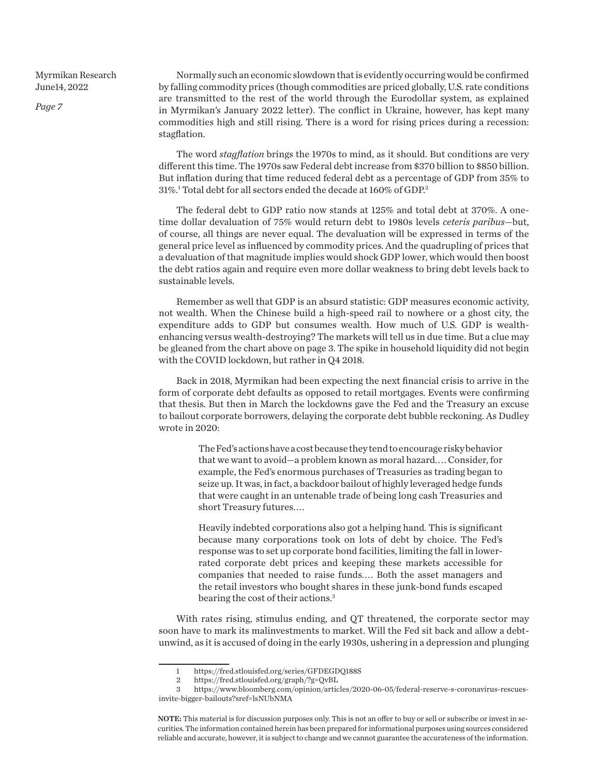*Page 7*

Normally such an economic slowdown that is evidently occurring would be confirmed by falling commodity prices (though commodities are priced globally, U.S. rate conditions are transmitted to the rest of the world through the Eurodollar system, as explained in Myrmikan's January 2022 letter). The conflict in Ukraine, however, has kept many commodities high and still rising. There is a word for rising prices during a recession: stagflation.

The word *stagflation* brings the 1970s to mind, as it should. But conditions are very different this time. The 1970s saw Federal debt increase from \$370 billion to \$850 billion. But inflation during that time reduced federal debt as a percentage of GDP from 35% to 31%.1 Total debt for all sectors ended the decade at 160% of GDP.2

The federal debt to GDP ratio now stands at 125% and total debt at 370%. A onetime dollar devaluation of 75% would return debt to 1980s levels *ceteris paribus*—but, of course, all things are never equal. The devaluation will be expressed in terms of the general price level as influenced by commodity prices. And the quadrupling of prices that a devaluation of that magnitude implies would shock GDP lower, which would then boost the debt ratios again and require even more dollar weakness to bring debt levels back to sustainable levels.

Remember as well that GDP is an absurd statistic: GDP measures economic activity, not wealth. When the Chinese build a high-speed rail to nowhere or a ghost city, the expenditure adds to GDP but consumes wealth. How much of U.S. GDP is wealthenhancing versus wealth-destroying? The markets will tell us in due time. But a clue may be gleaned from the chart above on page 3. The spike in household liquidity did not begin with the COVID lockdown, but rather in Q4 2018.

Back in 2018, Myrmikan had been expecting the next financial crisis to arrive in the form of corporate debt defaults as opposed to retail mortgages. Events were confirming that thesis. But then in March the lockdowns gave the Fed and the Treasury an excuse to bailout corporate borrowers, delaying the corporate debt bubble reckoning. As Dudley wrote in 2020:

> The Fed's actions have a cost because they tend to encourage risky behavior that we want to avoid—a problem known as moral hazard. . . . Consider, for example, the Fed's enormous purchases of Treasuries as trading began to seize up. It was, in fact, a backdoor bailout of highly leveraged hedge funds that were caught in an untenable trade of being long cash Treasuries and short Treasury futures....

> Heavily indebted corporations also got a helping hand. This is significant because many corporations took on lots of debt by choice. The Fed's response was to set up corporate bond facilities, limiting the fall in lowerrated corporate debt prices and keeping these markets accessible for companies that needed to raise funds. . . . Both the asset managers and the retail investors who bought shares in these junk-bond funds escaped bearing the cost of their actions.3

With rates rising, stimulus ending, and QT threatened, the corporate sector may soon have to mark its malinvestments to market. Will the Fed sit back and allow a debtunwind, as it is accused of doing in the early 1930s, ushering in a depression and plunging

<sup>1</sup> https://fred.stlouisfed.org/series/GFDEGDQ188S

<sup>2</sup> https://fred.stlouisfed.org/graph/?g=QvBL

<sup>3</sup> https://www.bloomberg.com/opinion/articles/2020-06-05/federal-reserve-s-coronavirus-rescuesinvite-bigger-bailouts?sref=lsNUbNMA

NOTE: This material is for discussion purposes only. This is not an offer to buy or sell or subscribe or invest in securities. The information contained herein has been prepared for informational purposes using sources considered reliable and accurate, however, it is subject to change and we cannot guarantee the accurateness of the information.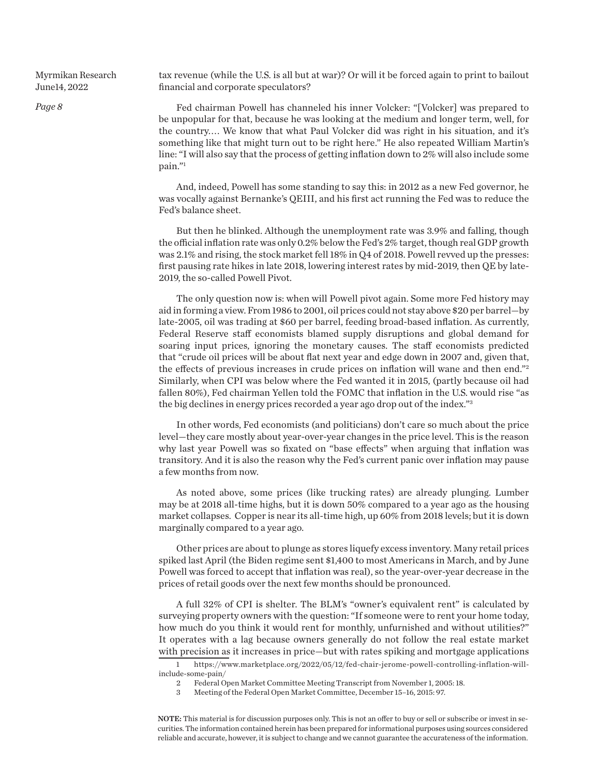*Page 8*

tax revenue (while the U.S. is all but at war)? Or will it be forced again to print to bailout financial and corporate speculators?

Fed chairman Powell has channeled his inner Volcker: "[Volcker] was prepared to be unpopular for that, because he was looking at the medium and longer term, well, for the country. . . . We know that what Paul Volcker did was right in his situation, and it's something like that might turn out to be right here." He also repeated William Martin's line: "I will also say that the process of getting inflation down to 2% will also include some pain."1

And, indeed, Powell has some standing to say this: in 2012 as a new Fed governor, he was vocally against Bernanke's QEIII, and his first act running the Fed was to reduce the Fed's balance sheet.

But then he blinked. Although the unemployment rate was 3.9% and falling, though the official inflation rate was only 0.2% below the Fed's 2% target, though real GDP growth was 2.1% and rising, the stock market fell 18% in Q4 of 2018. Powell revved up the presses: first pausing rate hikes in late 2018, lowering interest rates by mid-2019, then QE by late-2019, the so-called Powell Pivot.

The only question now is: when will Powell pivot again. Some more Fed history may aid in forming a view. From 1986 to 2001, oil prices could not stay above \$20 per barrel—by late-2005, oil was trading at \$60 per barrel, feeding broad-based inflation. As currently, Federal Reserve staff economists blamed supply disruptions and global demand for soaring input prices, ignoring the monetary causes. The staff economists predicted that "crude oil prices will be about flat next year and edge down in 2007 and, given that, the effects of previous increases in crude prices on inflation will wane and then end."2 Similarly, when CPI was below where the Fed wanted it in 2015, (partly because oil had fallen 80%), Fed chairman Yellen told the FOMC that inflation in the U.S. would rise "as the big declines in energy prices recorded a year ago drop out of the index."3

In other words, Fed economists (and politicians) don't care so much about the price level—they care mostly about year-over-year changes in the price level. This is the reason why last year Powell was so fixated on "base effects" when arguing that inflation was transitory. And it is also the reason why the Fed's current panic over inflation may pause a few months from now.

As noted above, some prices (like trucking rates) are already plunging. Lumber may be at 2018 all-time highs, but it is down 50% compared to a year ago as the housing market collapses. Copper is near its all-time high, up 60% from 2018 levels; but it is down marginally compared to a year ago.

Other prices are about to plunge as stores liquefy excess inventory. Many retail prices spiked last April (the Biden regime sent \$1,400 to most Americans in March, and by June Powell was forced to accept that inflation was real), so the year-over-year decrease in the prices of retail goods over the next few months should be pronounced.

A full 32% of CPI is shelter. The BLM's "owner's equivalent rent" is calculated by surveying property owners with the question: "If someone were to rent your home today, how much do you think it would rent for monthly, unfurnished and without utilities?" It operates with a lag because owners generally do not follow the real estate market with precision as it increases in price—but with rates spiking and mortgage applications

<sup>1</sup> https://www.marketplace.org/2022/05/12/fed-chair-jerome-powell-controlling-inflation-willinclude-some-pain/

<sup>2</sup> Federal Open Market Committee Meeting Transcript from November 1, 2005: 18.

<sup>3</sup> Meeting of the Federal Open Market Committee, December 15–16, 2015: 97.

NOTE: This material is for discussion purposes only. This is not an offer to buy or sell or subscribe or invest in securities. The information contained herein has been prepared for informational purposes using sources considered reliable and accurate, however, it is subject to change and we cannot guarantee the accurateness of the information.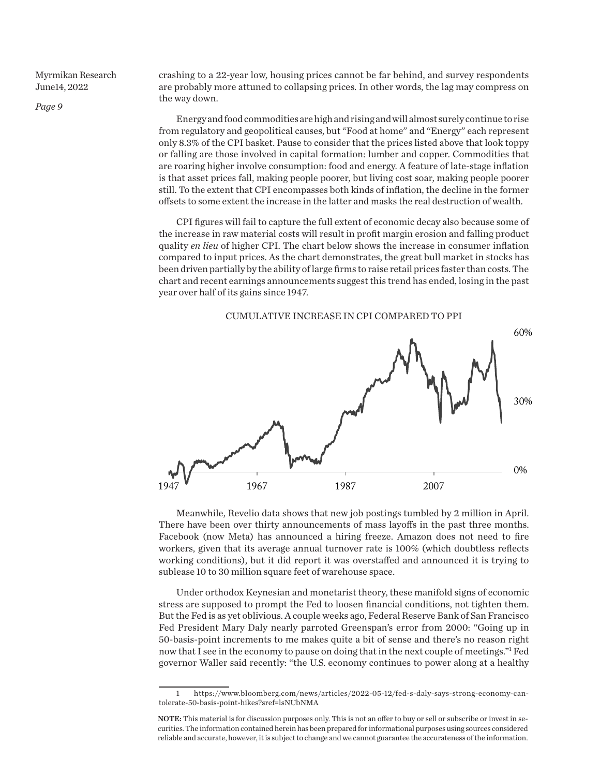*Page 9*

crashing to a 22-year low, housing prices cannot be far behind, and survey respondents are probably more attuned to collapsing prices. In other words, the lag may compress on the way down.

Energy and food commodities are high and rising and will almost surely continue to rise from regulatory and geopolitical causes, but "Food at home" and "Energy" each represent only 8.3% of the CPI basket. Pause to consider that the prices listed above that look toppy or falling are those involved in capital formation: lumber and copper. Commodities that are roaring higher involve consumption: food and energy. A feature of late-stage inflation is that asset prices fall, making people poorer, but living cost soar, making people poorer still. To the extent that CPI encompasses both kinds of inflation, the decline in the former offsets to some extent the increase in the latter and masks the real destruction of wealth.

CPI figures will fail to capture the full extent of economic decay also because some of the increase in raw material costs will result in profit margin erosion and falling product quality *en lieu* of higher CPI. The chart below shows the increase in consumer inflation compared to input prices. As the chart demonstrates, the great bull market in stocks has been driven partially by the ability of large firms to raise retail prices faster than costs. The chart and recent earnings announcements suggest this trend has ended, losing in the past year over half of its gains since 1947.



Meanwhile, Revelio data shows that new job postings tumbled by 2 million in April. There have been over thirty announcements of mass layoffs in the past three months. Facebook (now Meta) has announced a hiring freeze. Amazon does not need to fire workers, given that its average annual turnover rate is 100% (which doubtless reflects working conditions), but it did report it was overstaffed and announced it is trying to sublease 10 to 30 million square feet of warehouse space.

1947 **1967** 1987 **1987** 2007

0%

Under orthodox Keynesian and monetarist theory, these manifold signs of economic stress are supposed to prompt the Fed to loosen financial conditions, not tighten them. But the Fed is as yet oblivious. A couple weeks ago, Federal Reserve Bank of San Francisco Fed President Mary Daly nearly parroted Greenspan's error from 2000: "Going up in 50-basis-point increments to me makes quite a bit of sense and there's no reason right now that I see in the economy to pause on doing that in the next couple of meetings."1 Fed governor Waller said recently: "the U.S. economy continues to power along at a healthy

<sup>1</sup> https://www.bloomberg.com/news/articles/2022-05-12/fed-s-daly-says-strong-economy-cantolerate-50-basis-point-hikes?sref=lsNUbNMA

NOTE: This material is for discussion purposes only. This is not an offer to buy or sell or subscribe or invest in securities. The information contained herein has been prepared for informational purposes using sources considered reliable and accurate, however, it is subject to change and we cannot guarantee the accurateness of the information.